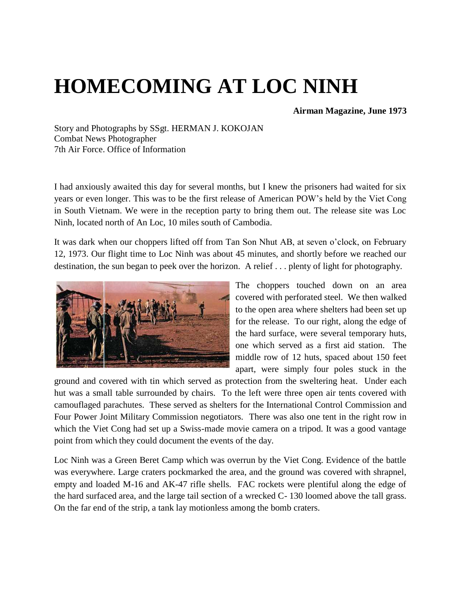## **HOMECOMING AT LOC NINH**

## **Airman Magazine, June 1973**

Story and Photographs by SSgt. HERMAN J. KOKOJAN Combat News Photographer 7th Air Force. Office of Information

I had anxiously awaited this day for several months, but I knew the prisoners had waited for six years or even longer. This was to be the first release of American POW's held by the Viet Cong in South Vietnam. We were in the reception party to bring them out. The release site was Loc Ninh, located north of An Loc, 10 miles south of Cambodia.

It was dark when our choppers lifted off from Tan Son Nhut AB, at seven o'clock, on February 12, 1973. Our flight time to Loc Ninh was about 45 minutes, and shortly before we reached our destination, the sun began to peek over the horizon. A relief . . . plenty of light for photography.



The choppers touched down on an area covered with perforated steel. We then walked to the open area where shelters had been set up for the release. To our right, along the edge of the hard surface, were several temporary huts, one which served as a first aid station. The middle row of 12 huts, spaced about 150 feet apart, were simply four poles stuck in the

ground and covered with tin which served as protection from the sweltering heat. Under each hut was a small table surrounded by chairs. To the left were three open air tents covered with camouflaged parachutes. These served as shelters for the International Control Commission and Four Power Joint Military Commission negotiators. There was also one tent in the right row in which the Viet Cong had set up a Swiss-made movie camera on a tripod. It was a good vantage point from which they could document the events of the day.

Loc Ninh was a Green Beret Camp which was overrun by the Viet Cong. Evidence of the battle was everywhere. Large craters pockmarked the area, and the ground was covered with shrapnel, empty and loaded M-16 and AK-47 rifle shells. FAC rockets were plentiful along the edge of the hard surfaced area, and the large tail section of a wrecked C- 130 loomed above the tall grass. On the far end of the strip, a tank lay motionless among the bomb craters.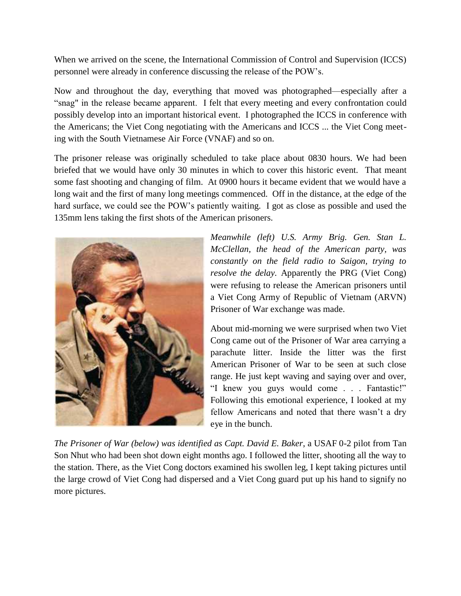When we arrived on the scene, the International Commission of Control and Supervision (ICCS) personnel were already in conference discussing the release of the POW's.

Now and throughout the day, everything that moved was photographed—especially after a "snag" in the release became apparent. I felt that every meeting and every confrontation could possibly develop into an important historical event. I photographed the ICCS in conference with the Americans; the Viet Cong negotiating with the Americans and ICCS ... the Viet Cong meeting with the South Vietnamese Air Force (VNAF) and so on.

The prisoner release was originally scheduled to take place about 0830 hours. We had been briefed that we would have only 30 minutes in which to cover this historic event. That meant some fast shooting and changing of film. At 0900 hours it became evident that we would have a long wait and the first of many long meetings commenced. Off in the distance, at the edge of the hard surface, we could see the POW's patiently waiting. I got as close as possible and used the 135mm lens taking the first shots of the American prisoners.



*Meanwhile (left) U.S. Army Brig. Gen. Stan L. McClellan, the head of the American party, was constantly on the field radio to Saigon, trying to resolve the delay.* Apparently the PRG (Viet Cong) were refusing to release the American prisoners until a Viet Cong Army of Republic of Vietnam (ARVN) Prisoner of War exchange was made.

About mid-morning we were surprised when two Viet Cong came out of the Prisoner of War area carrying a parachute litter. Inside the litter was the first American Prisoner of War to be seen at such close range. He just kept waving and saying over and over, "I knew you guys would come . . . Fantastic!" Following this emotional experience, I looked at my fellow Americans and noted that there wasn't a dry eye in the bunch.

*The Prisoner of War (below) was identified as Capt. David E. Baker*, a USAF 0-2 pilot from Tan Son Nhut who had been shot down eight months ago. I followed the litter, shooting all the way to the station. There, as the Viet Cong doctors examined his swollen leg, I kept taking pictures until the large crowd of Viet Cong had dispersed and a Viet Cong guard put up his hand to signify no more pictures.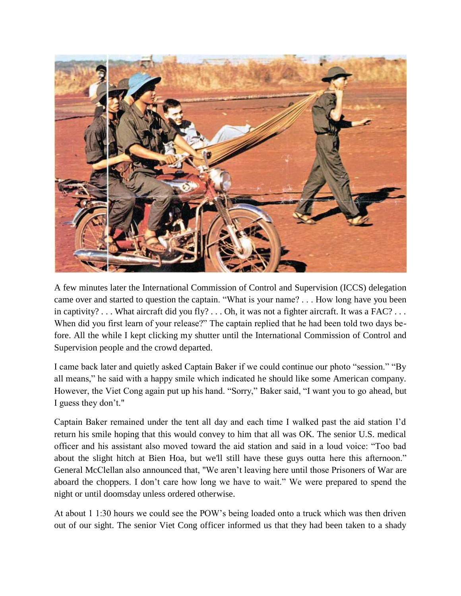

A few minutes later the International Commission of Control and Supervision (ICCS) delegation came over and started to question the captain. "What is your name? . . . How long have you been in captivity?  $\ldots$  What aircraft did you fly?  $\ldots$  Oh, it was not a fighter aircraft. It was a FAC?  $\ldots$ When did you first learn of your release?" The captain replied that he had been told two days before. All the while I kept clicking my shutter until the International Commission of Control and Supervision people and the crowd departed.

I came back later and quietly asked Captain Baker if we could continue our photo "session." "By all means," he said with a happy smile which indicated he should like some American company. However, the Viet Cong again put up his hand. "Sorry," Baker said, "I want you to go ahead, but I guess they don't."

Captain Baker remained under the tent all day and each time I walked past the aid station I'd return his smile hoping that this would convey to him that all was OK. The senior U.S. medical officer and his assistant also moved toward the aid station and said in a loud voice: "Too bad about the slight hitch at Bien Hoa, but we'll still have these guys outta here this afternoon." General McClellan also announced that, "We aren't leaving here until those Prisoners of War are aboard the choppers. I don't care how long we have to wait." We were prepared to spend the night or until doomsday unless ordered otherwise.

At about 1 1:30 hours we could see the POW's being loaded onto a truck which was then driven out of our sight. The senior Viet Cong officer informed us that they had been taken to a shady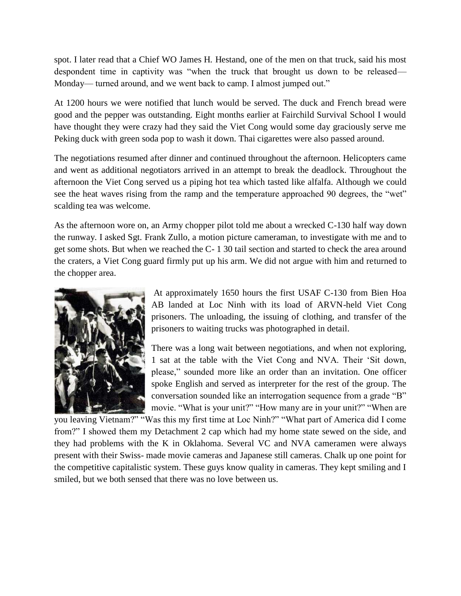spot. I later read that a Chief WO James H. Hestand, one of the men on that truck, said his most despondent time in captivity was "when the truck that brought us down to be released— Monday— turned around, and we went back to camp. I almost jumped out."

At 1200 hours we were notified that lunch would be served. The duck and French bread were good and the pepper was outstanding. Eight months earlier at Fairchild Survival School I would have thought they were crazy had they said the Viet Cong would some day graciously serve me Peking duck with green soda pop to wash it down. Thai cigarettes were also passed around.

The negotiations resumed after dinner and continued throughout the afternoon. Helicopters came and went as additional negotiators arrived in an attempt to break the deadlock. Throughout the afternoon the Viet Cong served us a piping hot tea which tasted like alfalfa. Although we could see the heat waves rising from the ramp and the temperature approached 90 degrees, the "wet" scalding tea was welcome.

As the afternoon wore on, an Army chopper pilot told me about a wrecked C-130 half way down the runway. I asked Sgt. Frank Zullo, a motion picture cameraman, to investigate with me and to get some shots. But when we reached the C- 1 30 tail section and started to check the area around the craters, a Viet Cong guard firmly put up his arm. We did not argue with him and returned to the chopper area.



At approximately 1650 hours the first USAF C-130 from Bien Hoa AB landed at Loc Ninh with its load of ARVN-held Viet Cong prisoners. The unloading, the issuing of clothing, and transfer of the prisoners to waiting trucks was photographed in detail.

There was a long wait between negotiations, and when not exploring, 1 sat at the table with the Viet Cong and NVA. Their 'Sit down, please," sounded more like an order than an invitation. One officer spoke English and served as interpreter for the rest of the group. The conversation sounded like an interrogation sequence from a grade "B" movie. "What is your unit?" "How many are in your unit?" "When are

you leaving Vietnam?" "Was this my first time at Loc Ninh?" "What part of America did I come from?" I showed them my Detachment 2 cap which had my home state sewed on the side, and they had problems with the K in Oklahoma. Several VC and NVA cameramen were always present with their Swiss- made movie cameras and Japanese still cameras. Chalk up one point for the competitive capitalistic system. These guys know quality in cameras. They kept smiling and I smiled, but we both sensed that there was no love between us.